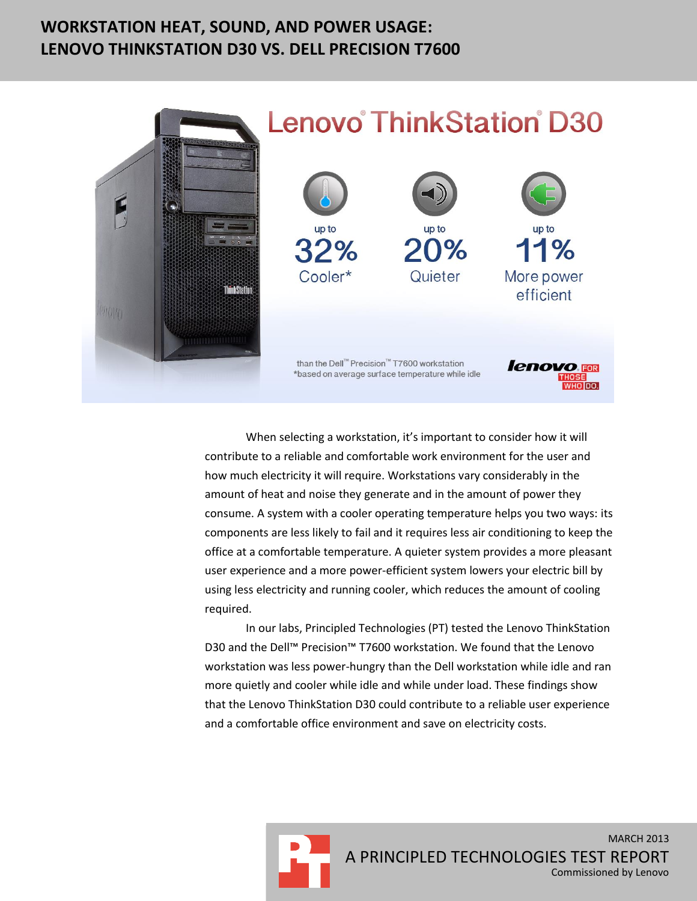### **WORKSTATION HEAT, SOUND, AND POWER USAGE: LENOVO THINKSTATION D30 VS. DELL PRECISION T7600**



# **Lenovo** ThinkStation D30



When selecting a workstation, it's important to consider how it will contribute to a reliable and comfortable work environment for the user and how much electricity it will require. Workstations vary considerably in the amount of heat and noise they generate and in the amount of power they consume. A system with a cooler operating temperature helps you two ways: its components are less likely to fail and it requires less air conditioning to keep the office at a comfortable temperature. A quieter system provides a more pleasant user experience and a more power-efficient system lowers your electric bill by using less electricity and running cooler, which reduces the amount of cooling required.

In our labs, Principled Technologies (PT) tested the Lenovo ThinkStation D30 and the Dell™ Precision™ T7600 workstation. We found that the Lenovo workstation was less power-hungry than the Dell workstation while idle and ran more quietly and cooler while idle and while under load. These findings show that the Lenovo ThinkStation D30 could contribute to a reliable user experience and a comfortable office environment and save on electricity costs.

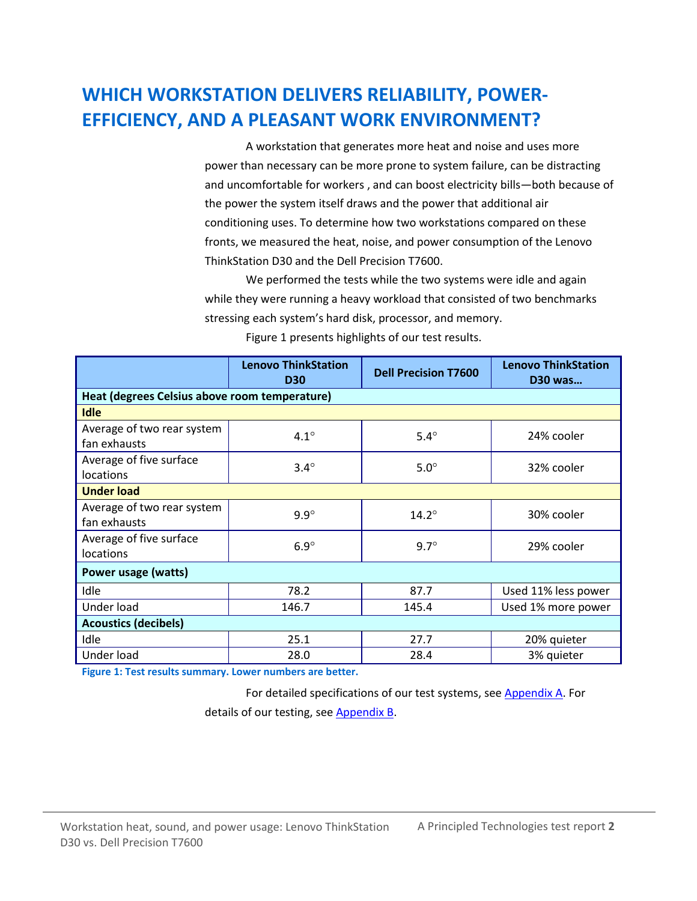# **WHICH WORKSTATION DELIVERS RELIABILITY, POWER-EFFICIENCY, AND A PLEASANT WORK ENVIRONMENT?**

A workstation that generates more heat and noise and uses more power than necessary can be more prone to system failure, can be distracting and uncomfortable for workers , and can boost electricity bills—both because of the power the system itself draws and the power that additional air conditioning uses. To determine how two workstations compared on these fronts, we measured the heat, noise, and power consumption of the Lenovo ThinkStation D30 and the Dell Precision T7600.

We performed the tests while the two systems were idle and again while they were running a heavy workload that consisted of two benchmarks stressing each system's hard disk, processor, and memory.

|                                               | <b>Lenovo ThinkStation</b><br><b>D30</b> | <b>Dell Precision T7600</b> | <b>Lenovo ThinkStation</b><br><b>D30 was</b> |  |  |
|-----------------------------------------------|------------------------------------------|-----------------------------|----------------------------------------------|--|--|
| Heat (degrees Celsius above room temperature) |                                          |                             |                                              |  |  |
| <b>Idle</b>                                   |                                          |                             |                                              |  |  |
| Average of two rear system<br>fan exhausts    | $4.1^\circ$                              | $5.4^\circ$                 | 24% cooler                                   |  |  |
| Average of five surface<br>locations          | $3.4^\circ$                              | $5.0^\circ$                 | 32% cooler                                   |  |  |
| <b>Under load</b>                             |                                          |                             |                                              |  |  |
| Average of two rear system<br>fan exhausts    | $9.9^\circ$                              | $14.2^\circ$                | 30% cooler                                   |  |  |
| Average of five surface<br>locations          | $6.9^\circ$                              | $9.7^\circ$                 | 29% cooler                                   |  |  |
| Power usage (watts)                           |                                          |                             |                                              |  |  |
| Idle                                          | 78.2                                     | 87.7                        | Used 11% less power                          |  |  |
| Under load                                    | 146.7                                    | 145.4                       | Used 1% more power                           |  |  |
| <b>Acoustics (decibels)</b>                   |                                          |                             |                                              |  |  |
| Idle                                          | 25.1                                     | 27.7                        | 20% quieter                                  |  |  |
| Under load                                    | 28.0                                     | 28.4                        | 3% quieter                                   |  |  |

Figure 1 presents highlights of our test results.

**Figure 1: Test results summary. Lower numbers are better.**

For detailed specifications of our test systems, see [Appendix A.](#page-5-0) For details of our testing, see [Appendix B.](#page-7-0)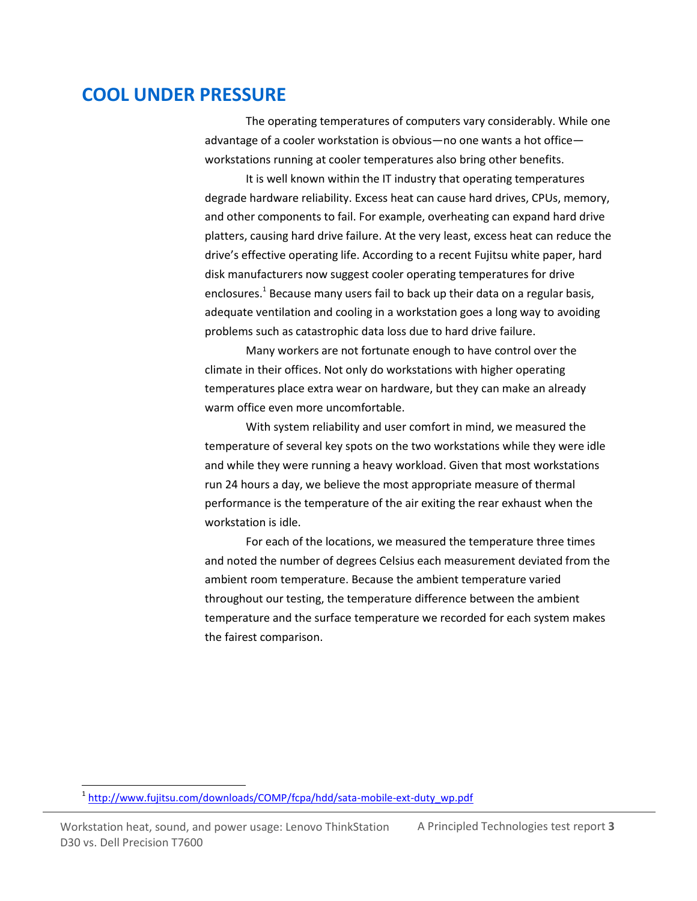### **COOL UNDER PRESSURE**

The operating temperatures of computers vary considerably. While one advantage of a cooler workstation is obvious—no one wants a hot office workstations running at cooler temperatures also bring other benefits.

It is well known within the IT industry that operating temperatures degrade hardware reliability. Excess heat can cause hard drives, CPUs, memory, and other components to fail. For example, overheating can expand hard drive platters, causing hard drive failure. At the very least, excess heat can reduce the drive's effective operating life. According to a recent Fujitsu white paper, hard disk manufacturers now suggest cooler operating temperatures for drive enclosures.<sup>1</sup> Because many users fail to back up their data on a regular basis, adequate ventilation and cooling in a workstation goes a long way to avoiding problems such as catastrophic data loss due to hard drive failure.

Many workers are not fortunate enough to have control over the climate in their offices. Not only do workstations with higher operating temperatures place extra wear on hardware, but they can make an already warm office even more uncomfortable.

With system reliability and user comfort in mind, we measured the temperature of several key spots on the two workstations while they were idle and while they were running a heavy workload. Given that most workstations run 24 hours a day, we believe the most appropriate measure of thermal performance is the temperature of the air exiting the rear exhaust when the workstation is idle.

For each of the locations, we measured the temperature three times and noted the number of degrees Celsius each measurement deviated from the ambient room temperature. Because the ambient temperature varied throughout our testing, the temperature difference between the ambient temperature and the surface temperature we recorded for each system makes the fairest comparison.

Workstation heat, sound, and power usage: Lenovo ThinkStation A Principled Technologies test report **3** D30 vs. Dell Precision T7600

 $\overline{a}$ 

<sup>&</sup>lt;sup>1</sup> [http://www.fujitsu.com/downloads/COMP/fcpa/hdd/sata-mobile-ext-duty\\_wp.pdf](http://www.fujitsu.com/downloads/COMP/fcpa/hdd/sata-mobile-ext-duty_wp.pdf)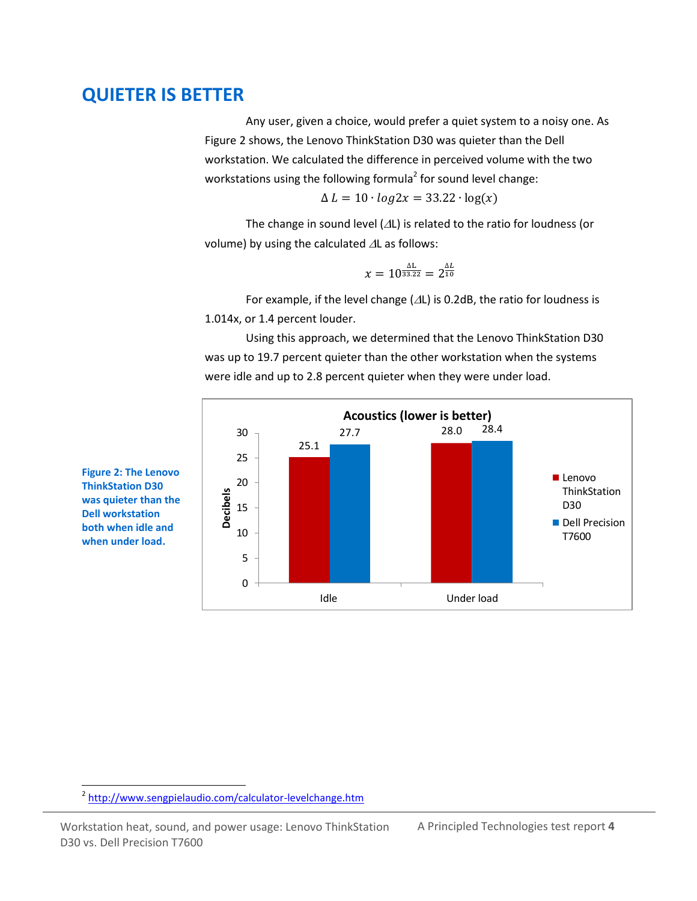### **QUIETER IS BETTER**

Any user, given a choice, would prefer a quiet system to a noisy one. As Figure 2 shows, the Lenovo ThinkStation D30 was quieter than the Dell workstation. We calculated the difference in perceived volume with the two workstations using the following formula<sup>2</sup> for sound level change:

 $\Delta L = 10 \cdot log2x = 33.22 \cdot log(x)$ 

The change in sound level  $(\Delta L)$  is related to the ratio for loudness (or volume) by using the calculated  $\Delta L$  as follows:

$$
x = 10^{\frac{\Delta L}{33.22}} = 2^{\frac{\Delta L}{10}}
$$

For example, if the level change ( $\Delta L$ ) is 0.2dB, the ratio for loudness is 1.014x, or 1.4 percent louder.

Using this approach, we determined that the Lenovo ThinkStation D30 was up to 19.7 percent quieter than the other workstation when the systems were idle and up to 2.8 percent quieter when they were under load.



**Figure 2: The Lenovo ThinkStation D30 was quieter than the Dell workstation both when idle and when under load.**

 $\overline{a}$ 

Workstation heat, sound, and power usage: Lenovo ThinkStation A Principled Technologies test report 4 D30 vs. Dell Precision T7600

<sup>&</sup>lt;sup>2</sup> <http://www.sengpielaudio.com/calculator-levelchange.htm>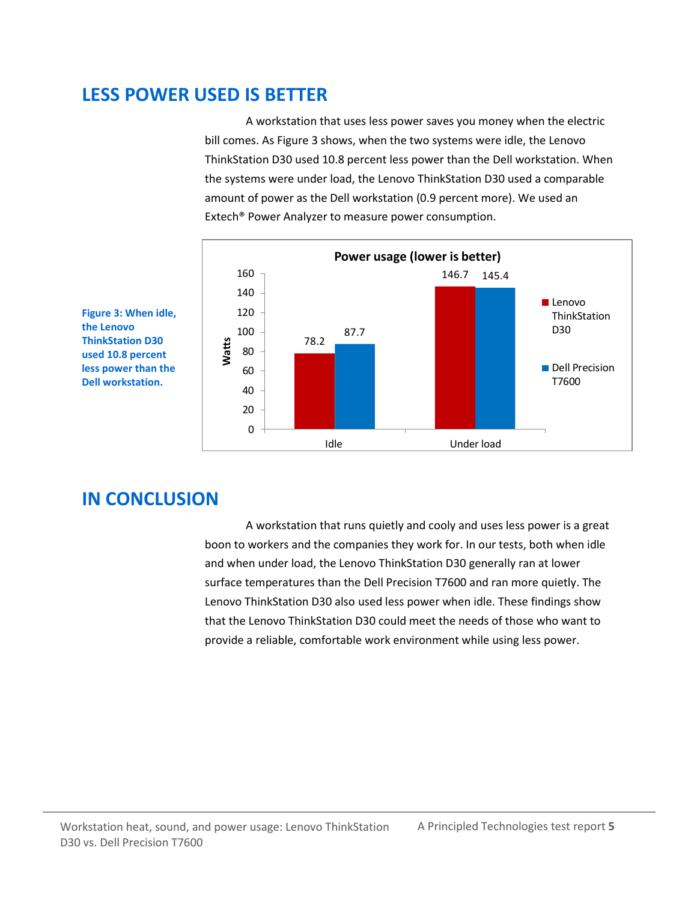### **LESS POWER USED IS BETTER**

A workstation that uses less power saves you money when the electric bill comes. As Figure 3 shows, when the two systems were idle, the Lenovo ThinkStation D30 used 10.8 percent less power than the Dell workstation. When the systems were under load, the Lenovo ThinkStation D30 used a comparable amount of power as the Dell workstation (0.9 percent more). We used an Extech® Power Analyzer to measure power consumption.



**Figure 3: When idle, the Lenovo ThinkStation D30 used 10.8 percent less power than the Dell workstation.**

# **IN CONCLUSION**

A workstation that runs quietly and cooly and uses less power is a great boon to workers and the companies they work for. In our tests, both when idle and when under load, the Lenovo ThinkStation D30 generally ran at lower surface temperatures than the Dell Precision T7600 and ran more quietly. The Lenovo ThinkStation D30 also used less power when idle. These findings show that the Lenovo ThinkStation D30 could meet the needs of those who want to provide a reliable, comfortable work environment while using less power.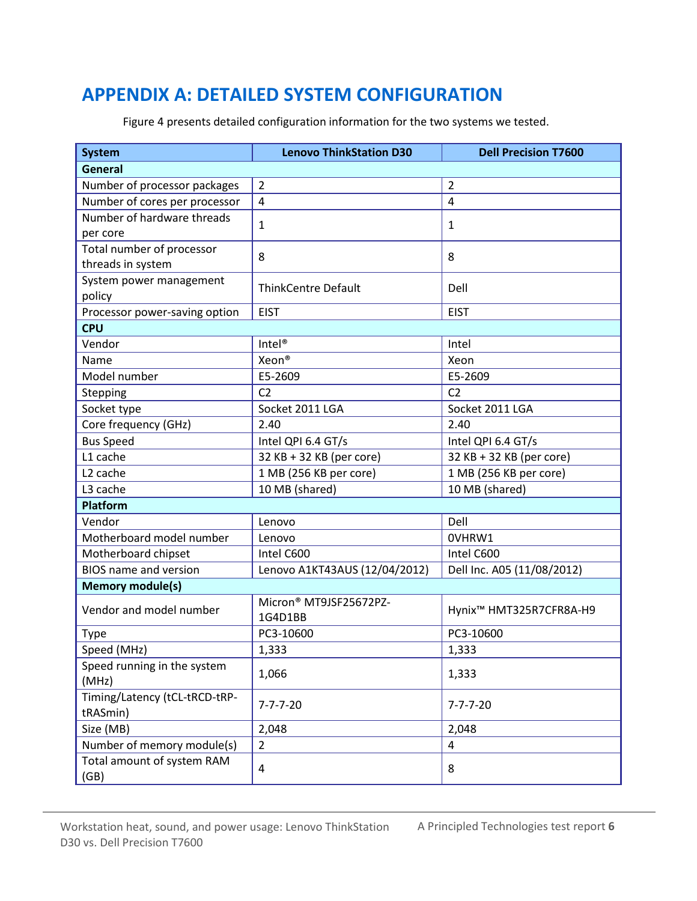# <span id="page-5-0"></span>**APPENDIX A: DETAILED SYSTEM CONFIGURATION**

| <b>System</b>                             | <b>Lenovo ThinkStation D30</b>    | <b>Dell Precision T7600</b>         |  |  |
|-------------------------------------------|-----------------------------------|-------------------------------------|--|--|
| <b>General</b>                            |                                   |                                     |  |  |
| Number of processor packages              | $\overline{2}$                    | $\overline{2}$                      |  |  |
| Number of cores per processor             | $\overline{4}$                    | 4                                   |  |  |
| Number of hardware threads                |                                   |                                     |  |  |
| per core                                  | 1                                 | 1                                   |  |  |
| Total number of processor                 | 8                                 | 8                                   |  |  |
| threads in system                         |                                   |                                     |  |  |
| System power management                   | <b>ThinkCentre Default</b>        | Dell                                |  |  |
| policy                                    |                                   |                                     |  |  |
| Processor power-saving option             | <b>EIST</b>                       | <b>EIST</b>                         |  |  |
| <b>CPU</b>                                |                                   |                                     |  |  |
| Vendor                                    | Intel <sup>®</sup>                | Intel                               |  |  |
| Name                                      | Xeon <sup>®</sup>                 | Xeon                                |  |  |
| Model number                              | E5-2609                           | E5-2609                             |  |  |
| Stepping                                  | C <sub>2</sub>                    | C <sub>2</sub>                      |  |  |
| Socket type                               | Socket 2011 LGA                   | Socket 2011 LGA                     |  |  |
| Core frequency (GHz)                      | 2.40                              | 2.40                                |  |  |
| <b>Bus Speed</b>                          | Intel QPI 6.4 GT/s                | Intel QPI 6.4 GT/s                  |  |  |
| L1 cache                                  | 32 KB + 32 KB (per core)          | 32 KB + 32 KB (per core)            |  |  |
| L <sub>2</sub> cache                      | 1 MB (256 KB per core)            | 1 MB (256 KB per core)              |  |  |
| L3 cache                                  | 10 MB (shared)                    | 10 MB (shared)                      |  |  |
| Platform                                  |                                   |                                     |  |  |
| Vendor                                    | Lenovo                            | Dell                                |  |  |
| Motherboard model number                  | Lenovo                            | OVHRW1                              |  |  |
| Motherboard chipset                       | Intel C600                        | Intel C600                          |  |  |
| <b>BIOS</b> name and version              | Lenovo A1KT43AUS (12/04/2012)     | Dell Inc. A05 (11/08/2012)          |  |  |
| <b>Memory module(s)</b>                   |                                   |                                     |  |  |
| Vendor and model number                   | Micron® MT9JSF25672PZ-<br>1G4D1BB | Hynix <sup>™</sup> HMT325R7CFR8A-H9 |  |  |
| <b>Type</b>                               | PC3-10600                         | PC3-10600                           |  |  |
| Speed (MHz)                               | 1,333                             | 1,333                               |  |  |
| Speed running in the system               |                                   |                                     |  |  |
| (MHz)                                     | 1,066                             | 1,333                               |  |  |
| Timing/Latency (tCL-tRCD-tRP-<br>tRASmin) | $7 - 7 - 7 - 20$                  | $7 - 7 - 7 - 20$                    |  |  |
| Size (MB)                                 | 2,048                             | 2,048                               |  |  |
| Number of memory module(s)                | $\overline{2}$                    | 4                                   |  |  |
| Total amount of system RAM<br>(GB)        | 4                                 | 8                                   |  |  |

Figure 4 presents detailed configuration information for the two systems we tested.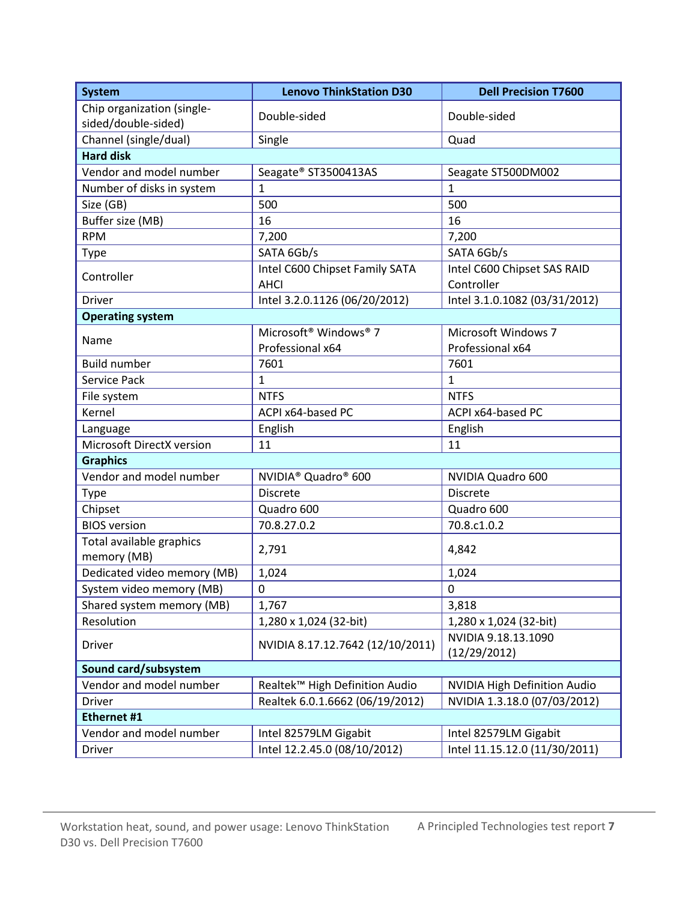| <b>System</b>                                     | <b>Lenovo ThinkStation D30</b>                | <b>Dell Precision T7600</b>               |  |  |
|---------------------------------------------------|-----------------------------------------------|-------------------------------------------|--|--|
| Chip organization (single-<br>sided/double-sided) | Double-sided                                  | Double-sided                              |  |  |
| Channel (single/dual)                             | Single                                        | Quad                                      |  |  |
| <b>Hard disk</b>                                  |                                               |                                           |  |  |
| Vendor and model number                           | Seagate® ST3500413AS                          | Seagate ST500DM002                        |  |  |
| Number of disks in system                         | $\mathbf{1}$                                  | $\mathbf{1}$                              |  |  |
| Size (GB)                                         | 500                                           | 500                                       |  |  |
| Buffer size (MB)                                  | 16                                            | 16                                        |  |  |
| <b>RPM</b>                                        | 7,200                                         | 7,200                                     |  |  |
| <b>Type</b>                                       | SATA 6Gb/s                                    | SATA 6Gb/s                                |  |  |
| Controller                                        | Intel C600 Chipset Family SATA<br><b>AHCI</b> | Intel C600 Chipset SAS RAID<br>Controller |  |  |
| Driver                                            | Intel 3.2.0.1126 (06/20/2012)                 | Intel 3.1.0.1082 (03/31/2012)             |  |  |
| <b>Operating system</b>                           |                                               |                                           |  |  |
|                                                   | Microsoft <sup>®</sup> Windows <sup>®</sup> 7 | Microsoft Windows 7                       |  |  |
| Name                                              | Professional x64                              | Professional x64                          |  |  |
| <b>Build number</b>                               | 7601                                          | 7601                                      |  |  |
| Service Pack                                      | $\mathbf{1}$                                  | $\mathbf{1}$                              |  |  |
| File system                                       | <b>NTFS</b>                                   | <b>NTFS</b>                               |  |  |
| Kernel                                            | ACPI x64-based PC                             | ACPI x64-based PC                         |  |  |
| Language                                          | English                                       | English                                   |  |  |
| Microsoft DirectX version                         | 11                                            | 11                                        |  |  |
| <b>Graphics</b>                                   |                                               |                                           |  |  |
| Vendor and model number                           | NVIDIA <sup>®</sup> Quadro <sup>®</sup> 600   | NVIDIA Quadro 600                         |  |  |
| <b>Type</b>                                       | <b>Discrete</b>                               | <b>Discrete</b>                           |  |  |
| Chipset                                           | Quadro 600                                    | Quadro 600                                |  |  |
| <b>BIOS</b> version                               | 70.8.27.0.2                                   | 70.8.c1.0.2                               |  |  |
| Total available graphics<br>memory (MB)           | 2,791                                         | 4,842                                     |  |  |
| Dedicated video memory (MB)                       | 1,024                                         | 1,024                                     |  |  |
| System video memory (MB)                          | 0                                             | $\boldsymbol{0}$                          |  |  |
| Shared system memory (MB)                         | 1,767                                         | 3,818                                     |  |  |
| Resolution                                        | 1,280 x 1,024 (32-bit)                        | 1,280 x 1,024 (32-bit)                    |  |  |
| Driver                                            | NVIDIA 8.17.12.7642 (12/10/2011)              | NVIDIA 9.18.13.1090<br>(12/29/2012)       |  |  |
| Sound card/subsystem                              |                                               |                                           |  |  |
| Vendor and model number                           | Realtek™ High Definition Audio                | <b>NVIDIA High Definition Audio</b>       |  |  |
| Driver                                            | Realtek 6.0.1.6662 (06/19/2012)               | NVIDIA 1.3.18.0 (07/03/2012)              |  |  |
| Ethernet #1                                       |                                               |                                           |  |  |
| Vendor and model number                           | Intel 82579LM Gigabit                         | Intel 82579LM Gigabit                     |  |  |
| Driver                                            | Intel 12.2.45.0 (08/10/2012)                  | Intel 11.15.12.0 (11/30/2011)             |  |  |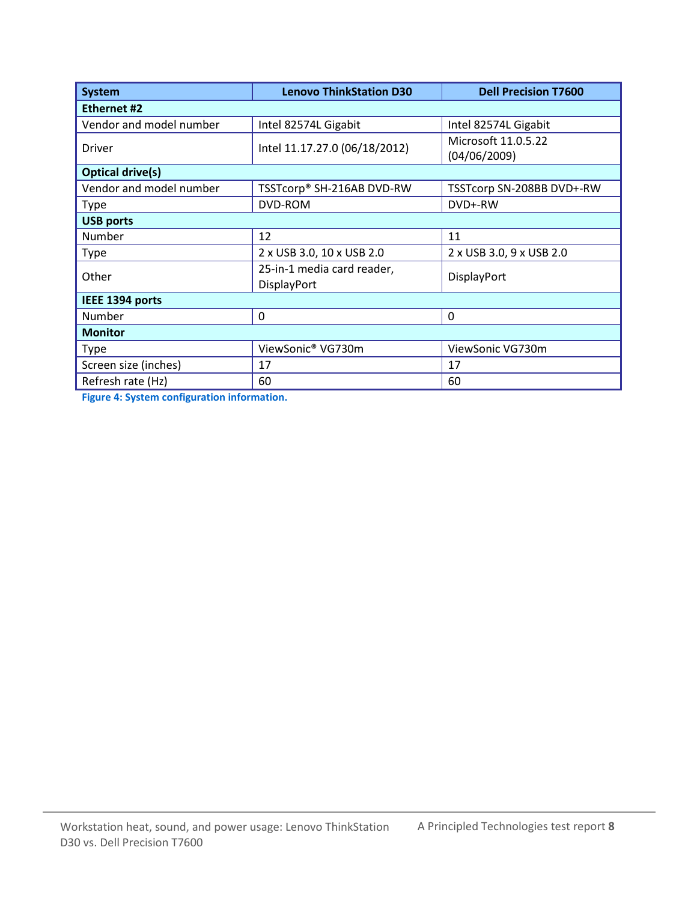| System                  | <b>Lenovo ThinkStation D30</b>            | <b>Dell Precision T7600</b>         |  |  |
|-------------------------|-------------------------------------------|-------------------------------------|--|--|
| <b>Ethernet #2</b>      |                                           |                                     |  |  |
| Vendor and model number | Intel 82574L Gigabit                      | Intel 82574L Gigabit                |  |  |
| <b>Driver</b>           | Intel 11.17.27.0 (06/18/2012)             | Microsoft 11.0.5.22<br>(04/06/2009) |  |  |
| <b>Optical drive(s)</b> |                                           |                                     |  |  |
| Vendor and model number | TSSTcorp® SH-216AB DVD-RW                 | TSSTcorp SN-208BB DVD+-RW           |  |  |
| Type                    | DVD-ROM                                   | DVD+-RW                             |  |  |
| <b>USB ports</b>        |                                           |                                     |  |  |
| Number                  | 12                                        | 11                                  |  |  |
| <b>Type</b>             | 2 x USB 3.0, 10 x USB 2.0                 | 2 x USB 3.0, 9 x USB 2.0            |  |  |
| Other                   | 25-in-1 media card reader,<br>DisplayPort | DisplayPort                         |  |  |
| IEEE 1394 ports         |                                           |                                     |  |  |
| Number                  | $\Omega$                                  | $\Omega$                            |  |  |
| <b>Monitor</b>          |                                           |                                     |  |  |
| <b>Type</b>             | ViewSonic <sup>®</sup> VG730m             | ViewSonic VG730m                    |  |  |
| Screen size (inches)    | 17                                        | 17                                  |  |  |
| Refresh rate (Hz)       | 60                                        | 60                                  |  |  |

<span id="page-7-0"></span>**Figure 4: System configuration information.**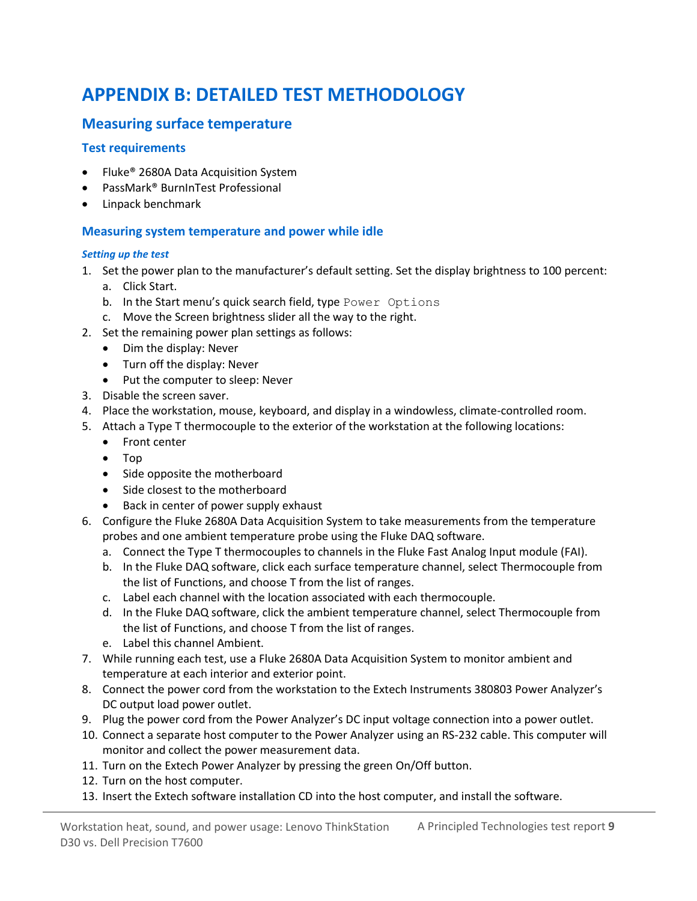# **APPENDIX B: DETAILED TEST METHODOLOGY**

#### **Measuring surface temperature**

#### **Test requirements**

- Fluke<sup>®</sup> 2680A Data Acquisition System
- PassMark® BurnInTest Professional
- Linpack benchmark

#### **Measuring system temperature and power while idle**

#### *Setting up the test*

- 1. Set the power plan to the manufacturer's default setting. Set the display brightness to 100 percent:
	- a. Click Start.
	- b. In the Start menu's quick search field, type Power Options
	- c. Move the Screen brightness slider all the way to the right.
- 2. Set the remaining power plan settings as follows:
	- Dim the display: Never
	- Turn off the display: Never
	- Put the computer to sleep: Never
- 3. Disable the screen saver.
- 4. Place the workstation, mouse, keyboard, and display in a windowless, climate-controlled room.
- 5. Attach a Type T thermocouple to the exterior of the workstation at the following locations:
	- Front center
	- Top
	- Side opposite the motherboard
	- Side closest to the motherboard
	- Back in center of power supply exhaust
- 6. Configure the Fluke 2680A Data Acquisition System to take measurements from the temperature probes and one ambient temperature probe using the Fluke DAQ software.
	- a. Connect the Type T thermocouples to channels in the Fluke Fast Analog Input module (FAI).
	- b. In the Fluke DAQ software, click each surface temperature channel, select Thermocouple from the list of Functions, and choose T from the list of ranges.
	- c. Label each channel with the location associated with each thermocouple.
	- d. In the Fluke DAQ software, click the ambient temperature channel, select Thermocouple from the list of Functions, and choose T from the list of ranges.
	- e. Label this channel Ambient.
- 7. While running each test, use a Fluke 2680A Data Acquisition System to monitor ambient and temperature at each interior and exterior point.
- 8. Connect the power cord from the workstation to the Extech Instruments 380803 Power Analyzer's DC output load power outlet.
- 9. Plug the power cord from the Power Analyzer's DC input voltage connection into a power outlet.
- 10. Connect a separate host computer to the Power Analyzer using an RS-232 cable. This computer will monitor and collect the power measurement data.
- 11. Turn on the Extech Power Analyzer by pressing the green On/Off button.
- 12. Turn on the host computer.
- 13. Insert the Extech software installation CD into the host computer, and install the software.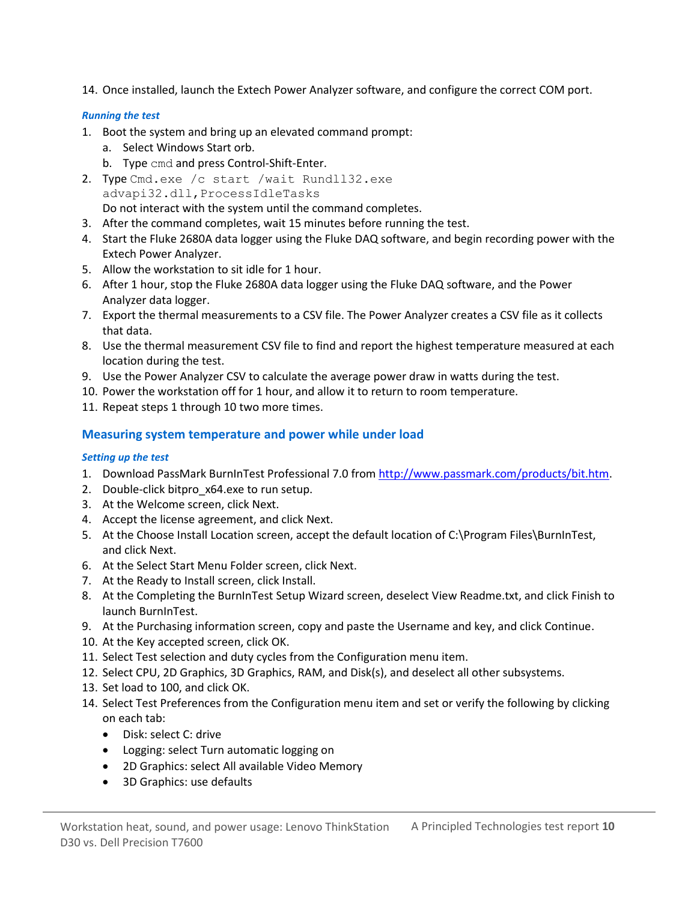14. Once installed, launch the Extech Power Analyzer software, and configure the correct COM port.

#### *Running the test*

- 1. Boot the system and bring up an elevated command prompt:
	- a. Select Windows Start orb.
	- b. Type cmd and press Control-Shift-Enter.
- 2. Type Cmd.exe /c start /wait Rundll32.exe advapi32.dll,ProcessIdleTasks
	- Do not interact with the system until the command completes.
- 3. After the command completes, wait 15 minutes before running the test.
- 4. Start the Fluke 2680A data logger using the Fluke DAQ software, and begin recording power with the Extech Power Analyzer.
- 5. Allow the workstation to sit idle for 1 hour.
- 6. After 1 hour, stop the Fluke 2680A data logger using the Fluke DAQ software, and the Power Analyzer data logger.
- 7. Export the thermal measurements to a CSV file. The Power Analyzer creates a CSV file as it collects that data.
- 8. Use the thermal measurement CSV file to find and report the highest temperature measured at each location during the test.
- 9. Use the Power Analyzer CSV to calculate the average power draw in watts during the test.
- 10. Power the workstation off for 1 hour, and allow it to return to room temperature.
- 11. Repeat steps 1 through 10 two more times.

#### **Measuring system temperature and power while under load**

#### *Setting up the test*

- 1. Download PassMark BurnInTest Professional 7.0 fro[m http://www.passmark.com/products/bit.htm.](http://www.passmark.com/products/bit.htm)
- 2. Double-click bitpro x64.exe to run setup.
- 3. At the Welcome screen, click Next.
- 4. Accept the license agreement, and click Next.
- 5. At the Choose Install Location screen, accept the default location of C:\Program Files\BurnInTest, and click Next.
- 6. At the Select Start Menu Folder screen, click Next.
- 7. At the Ready to Install screen, click Install.
- 8. At the Completing the BurnInTest Setup Wizard screen, deselect View Readme.txt, and click Finish to launch BurnInTest.
- 9. At the Purchasing information screen, copy and paste the Username and key, and click Continue.
- 10. At the Key accepted screen, click OK.
- 11. Select Test selection and duty cycles from the Configuration menu item.
- 12. Select CPU, 2D Graphics, 3D Graphics, RAM, and Disk(s), and deselect all other subsystems.
- 13. Set load to 100, and click OK.
- 14. Select Test Preferences from the Configuration menu item and set or verify the following by clicking on each tab:
	- Disk: select C: drive
	- Logging: select Turn automatic logging on
	- 2D Graphics: select All available Video Memory
	- 3D Graphics: use defaults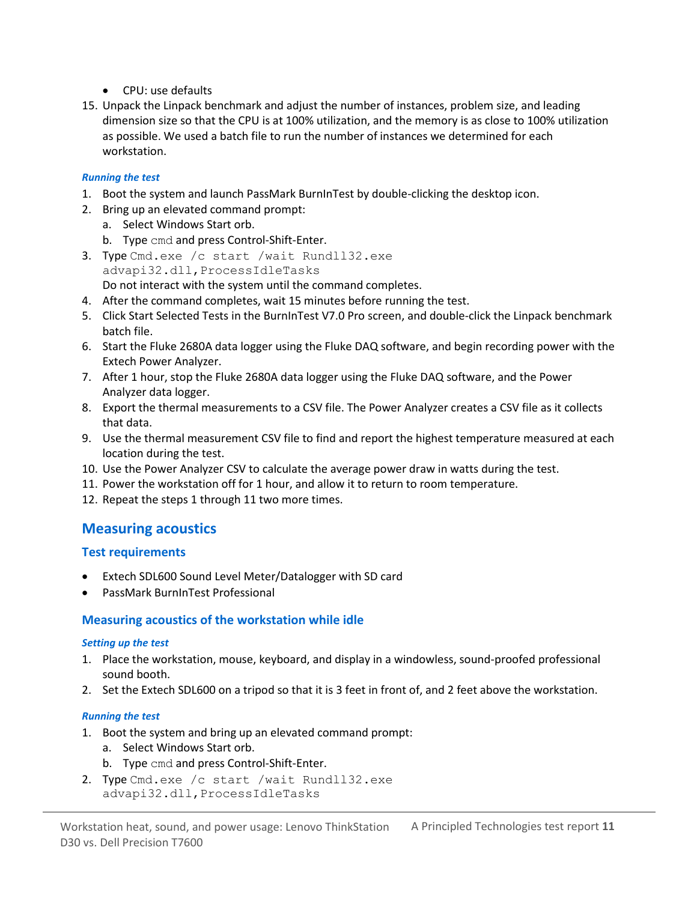- CPU: use defaults
- 15. Unpack the Linpack benchmark and adjust the number of instances, problem size, and leading dimension size so that the CPU is at 100% utilization, and the memory is as close to 100% utilization as possible. We used a batch file to run the number of instances we determined for each workstation.

#### *Running the test*

- 1. Boot the system and launch PassMark BurnInTest by double-clicking the desktop icon.
- 2. Bring up an elevated command prompt:
	- a. Select Windows Start orb.
	- b. Type cmd and press Control-Shift-Enter.
- 3. Type Cmd.exe /c start /wait Rundll32.exe advapi32.dll,ProcessIdleTasks Do not interact with the system until the command completes.
- 4. After the command completes, wait 15 minutes before running the test.
- 5. Click Start Selected Tests in the BurnInTest V7.0 Pro screen, and double-click the Linpack benchmark batch file.
- 6. Start the Fluke 2680A data logger using the Fluke DAQ software, and begin recording power with the Extech Power Analyzer.
- 7. After 1 hour, stop the Fluke 2680A data logger using the Fluke DAQ software, and the Power Analyzer data logger.
- 8. Export the thermal measurements to a CSV file. The Power Analyzer creates a CSV file as it collects that data.
- 9. Use the thermal measurement CSV file to find and report the highest temperature measured at each location during the test.
- 10. Use the Power Analyzer CSV to calculate the average power draw in watts during the test.
- 11. Power the workstation off for 1 hour, and allow it to return to room temperature.
- 12. Repeat the steps 1 through 11 two more times.

#### **Measuring acoustics**

#### **Test requirements**

- Extech SDL600 Sound Level Meter/Datalogger with SD card
- PassMark BurnInTest Professional

#### **Measuring acoustics of the workstation while idle**

#### *Setting up the test*

- 1. Place the workstation, mouse, keyboard, and display in a windowless, sound-proofed professional sound booth.
- 2. Set the Extech SDL600 on a tripod so that it is 3 feet in front of, and 2 feet above the workstation.

#### *Running the test*

- 1. Boot the system and bring up an elevated command prompt:
	- a. Select Windows Start orb.
	- b. Type cmd and press Control-Shift-Enter.
- 2. Type Cmd.exe /c start /wait Rundll32.exe advapi32.dll,ProcessIdleTasks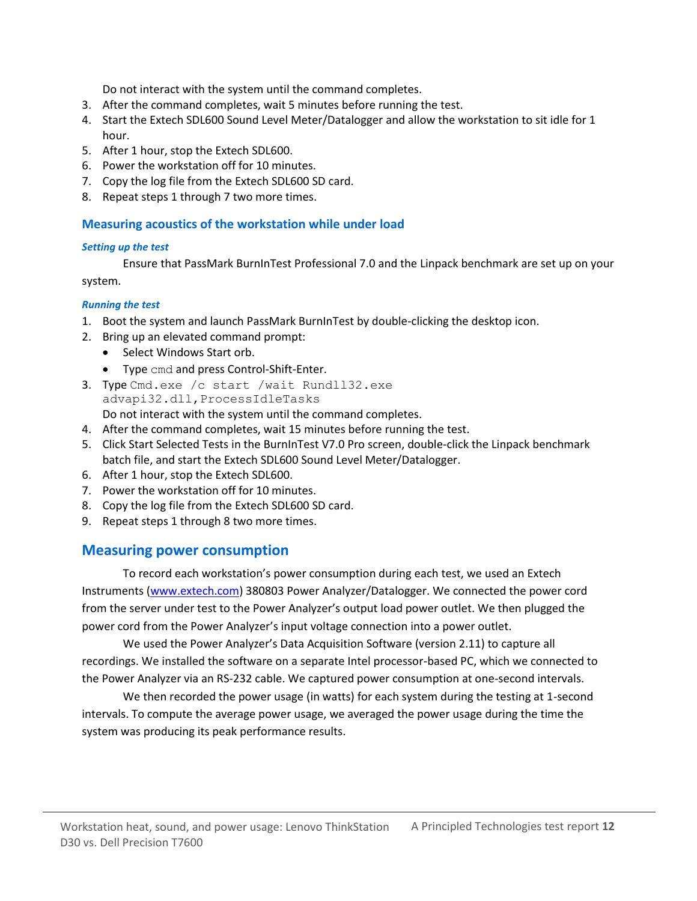Do not interact with the system until the command completes.

- 3. After the command completes, wait 5 minutes before running the test.
- 4. Start the Extech SDL600 Sound Level Meter/Datalogger and allow the workstation to sit idle for 1 hour.
- 5. After 1 hour, stop the Extech SDL600.
- 6. Power the workstation off for 10 minutes.
- 7. Copy the log file from the Extech SDL600 SD card.
- 8. Repeat steps 1 through 7 two more times.

#### **Measuring acoustics of the workstation while under load**

#### *Setting up the test*

Ensure that PassMark BurnInTest Professional 7.0 and the Linpack benchmark are set up on your

system.

#### *Running the test*

- 1. Boot the system and launch PassMark BurnInTest by double-clicking the desktop icon.
- 2. Bring up an elevated command prompt:
	- Select Windows Start orb.
	- Type cmd and press Control-Shift-Enter.
- 3. Type Cmd.exe /c start /wait Rundll32.exe advapi32.dll,ProcessIdleTasks Do not interact with the system until the command completes.
- 4. After the command completes, wait 15 minutes before running the test.
- 5. Click Start Selected Tests in the BurnInTest V7.0 Pro screen, double-click the Linpack benchmark batch file, and start the Extech SDL600 Sound Level Meter/Datalogger.
- 6. After 1 hour, stop the Extech SDL600.
- 7. Power the workstation off for 10 minutes.
- 8. Copy the log file from the Extech SDL600 SD card.
- 9. Repeat steps 1 through 8 two more times.

#### **Measuring power consumption**

To record each workstation's power consumption during each test, we used an Extech Instruments [\(www.extech.com\)](http://www.extech.com/) 380803 Power Analyzer/Datalogger. We connected the power cord from the server under test to the Power Analyzer's output load power outlet. We then plugged the power cord from the Power Analyzer's input voltage connection into a power outlet.

We used the Power Analyzer's Data Acquisition Software (version 2.11) to capture all recordings. We installed the software on a separate Intel processor-based PC, which we connected to the Power Analyzer via an RS-232 cable. We captured power consumption at one-second intervals.

We then recorded the power usage (in watts) for each system during the testing at 1-second intervals. To compute the average power usage, we averaged the power usage during the time the system was producing its peak performance results.